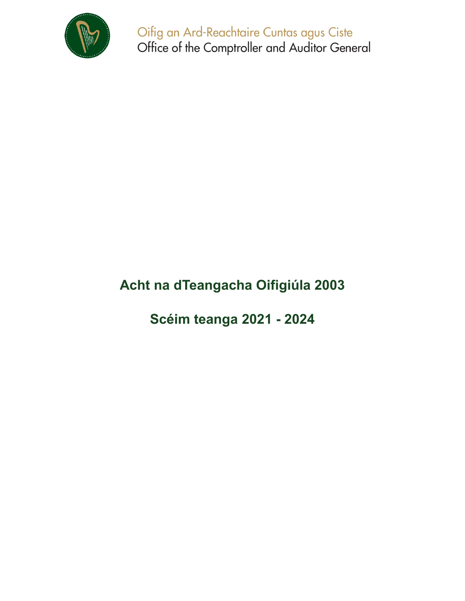

Oifig an Ard-Reachtaire Cuntas agus Ciste Office of the Comptroller and Auditor General

# **Acht na dTeangacha Oifigiúla 2003**

**Scéim teanga 2021 - 2024**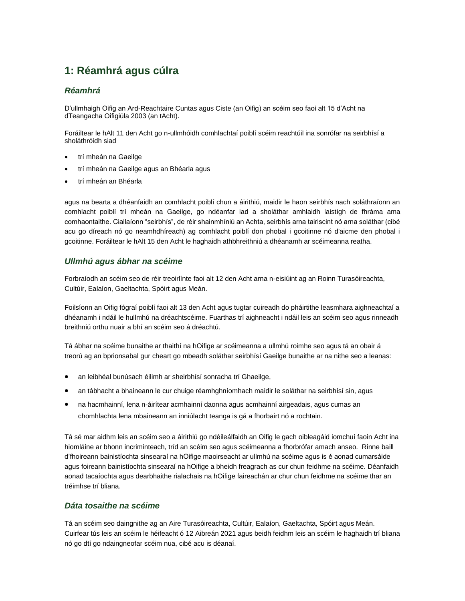# **1: Réamhrá agus cúlra**

#### *Réamhrá*

D'ullmhaigh Oifig an Ard-Reachtaire Cuntas agus Ciste (an Oifig) an scéim seo faoi alt 15 d'Acht na dTeangacha Oifigiúla 2003 (an tAcht).

Foráiltear le hAlt 11 den Acht go n-ullmhóidh comhlachtaí poiblí scéim reachtúil ina sonrófar na seirbhísí a sholáthróidh siad

- trí mheán na Gaeilge
- trí mheán na Gaeilge agus an Bhéarla agus
- trí mheán an Bhéarla

agus na bearta a dhéanfaidh an comhlacht poiblí chun a áirithiú, maidir le haon seirbhís nach soláthraíonn an comhlacht poiblí trí mheán na Gaeilge, go ndéanfar iad a sholáthar amhlaidh laistigh de fhráma ama comhaontaithe. Ciallaíonn "seirbhís", de réir shainmhíniú an Achta, seirbhís arna tairiscint nó arna soláthar (cibé acu go díreach nó go neamhdhíreach) ag comhlacht poiblí don phobal i gcoitinne nó d'aicme den phobal i gcoitinne. Foráiltear le hAlt 15 den Acht le haghaidh athbhreithniú a dhéanamh ar scéimeanna reatha.

#### *Ullmhú agus ábhar na scéime*

Forbraíodh an scéim seo de réir treoirlínte faoi alt 12 den Acht arna n-eisiúint ag an Roinn Turasóireachta, Cultúir, Ealaíon, Gaeltachta, Spóirt agus Meán.

Foilsíonn an Oifig fógraí poiblí faoi alt 13 den Acht agus tugtar cuireadh do pháirtithe leasmhara aighneachtaí a dhéanamh i ndáil le hullmhú na dréachtscéime. Fuarthas trí aighneacht i ndáil leis an scéim seo agus rinneadh breithniú orthu nuair a bhí an scéim seo á dréachtú.

Tá ábhar na scéime bunaithe ar thaithí na hOifige ar scéimeanna a ullmhú roimhe seo agus tá an obair á treorú ag an bprionsabal gur cheart go mbeadh soláthar seirbhísí Gaeilge bunaithe ar na nithe seo a leanas:

- an leibhéal bunúsach éilimh ar sheirbhísí sonracha trí Ghaeilge,
- an tábhacht a bhaineann le cur chuige réamhghníomhach maidir le soláthar na seirbhísí sin, agus
- na hacmhainní, lena n-áirítear acmhainní daonna agus acmhainní airgeadais, agus cumas an chomhlachta lena mbaineann an inniúlacht teanga is gá a fhorbairt nó a rochtain.

Tá sé mar aidhm leis an scéim seo a áirithiú go ndéileálfaidh an Oifig le gach oibleagáid iomchuí faoin Acht ina hiomláine ar bhonn incriminteach, tríd an scéim seo agus scéimeanna a fhorbrófar amach anseo. Rinne baill d'fhoireann bainistíochta sinsearaí na hOifige maoirseacht ar ullmhú na scéime agus is é aonad cumarsáide agus foireann bainistíochta sinsearaí na hOifige a bheidh freagrach as cur chun feidhme na scéime. Déanfaidh aonad tacaíochta agus dearbhaithe rialachais na hOifige faireachán ar chur chun feidhme na scéime thar an tréimhse trí bliana.

#### *Dáta tosaithe na scéime*

Tá an scéim seo daingnithe ag an Aire Turasóireachta, Cultúir, Ealaíon, Gaeltachta, Spóirt agus Meán. Cuirfear tús leis an scéim le héifeacht ó 12 Aibreán 2021 agus beidh feidhm leis an scéim le haghaidh trí bliana nó go dtí go ndaingneofar scéim nua, cibé acu is déanaí.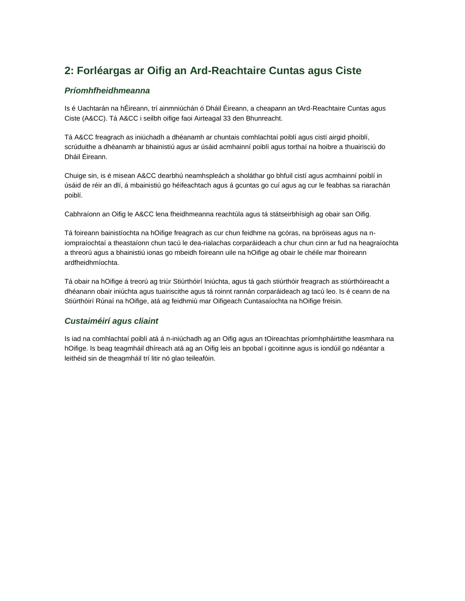# **2: Forléargas ar Oifig an Ard-Reachtaire Cuntas agus Ciste**

### *Príomhfheidhmeanna*

Is é Uachtarán na hÉireann, trí ainmniúchán ó Dháil Éireann, a cheapann an tArd-Reachtaire Cuntas agus Ciste (A&CC). Tá A&CC i seilbh oifige faoi Airteagal 33 den Bhunreacht.

Tá A&CC freagrach as iniúchadh a dhéanamh ar chuntais comhlachtaí poiblí agus cistí airgid phoiblí, scrúduithe a dhéanamh ar bhainistiú agus ar úsáid acmhainní poiblí agus torthaí na hoibre a thuairisciú do Dháil Éireann.

Chuige sin, is é misean A&CC dearbhú neamhspleách a sholáthar go bhfuil cistí agus acmhainní poiblí in úsáid de réir an dlí, á mbainistiú go héifeachtach agus á gcuntas go cuí agus ag cur le feabhas sa riarachán poiblí.

Cabhraíonn an Oifig le A&CC lena fheidhmeanna reachtúla agus tá státseirbhísigh ag obair san Oifig.

Tá foireann bainistíochta na hOifige freagrach as cur chun feidhme na gcóras, na bpróiseas agus na niompraíochtaí a theastaíonn chun tacú le dea-rialachas corparáideach a chur chun cinn ar fud na heagraíochta a threorú agus a bhainistiú ionas go mbeidh foireann uile na hOifige ag obair le chéile mar fhoireann ardfheidhmíochta.

Tá obair na hOifige á treorú ag triúr Stiúrthóirí Iniúchta, agus tá gach stiúrthóir freagrach as stiúrthóireacht a dhéanann obair iniúchta agus tuairiscithe agus tá roinnt rannán corparáideach ag tacú leo. Is é ceann de na Stiúrthóirí Rúnaí na hOifige, atá ag feidhmiú mar Oifigeach Cuntasaíochta na hOifige freisin.

### *Custaiméirí agus cliaint*

Is iad na comhlachtaí poiblí atá á n-iniúchadh ag an Oifig agus an tOireachtas príomhpháirtithe leasmhara na hOifige. Is beag teagmháil dhíreach atá ag an Oifig leis an bpobal i gcoitinne agus is iondúil go ndéantar a leithéid sin de theagmháil trí litir nó glao teileafóin.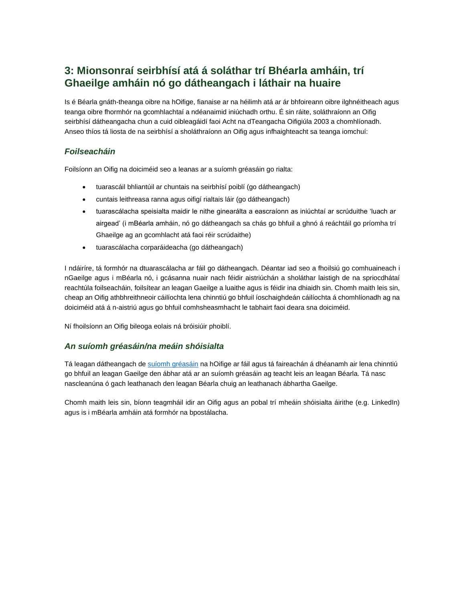## **3: Mionsonraí seirbhísí atá á soláthar trí Bhéarla amháin, trí Ghaeilge amháin nó go dátheangach i láthair na huaire**

Is é Béarla gnáth-theanga oibre na hOifige, fianaise ar na héilimh atá ar ár bhfoireann oibre ilghnéitheach agus teanga oibre fhormhór na gcomhlachtaí a ndéanaimid iniúchadh orthu. É sin ráite, soláthraíonn an Oifig seirbhísí dátheangacha chun a cuid oibleagáidí faoi Acht na dTeangacha Oifigiúla 2003 a chomhlíonadh. Anseo thíos tá liosta de na seirbhísí a sholáthraíonn an Oifig agus infhaighteacht sa teanga iomchuí:

#### *Foilseacháin*

Foilsíonn an Oifig na doiciméid seo a leanas ar a suíomh gréasáin go rialta:

- tuarascáil bhliantúil ar chuntais na seirbhísí poiblí (go dátheangach)
- cuntais leithreasa ranna agus oifigí rialtais láir (go dátheangach)
- tuarascálacha speisialta maidir le nithe ginearálta a eascraíonn as iniúchtaí ar scrúduithe 'luach ar airgead' (i mBéarla amháin, nó go dátheangach sa chás go bhfuil a ghnó á reáchtáil go príomha trí Ghaeilge ag an gcomhlacht atá faoi réir scrúdaithe)
- tuarascálacha corparáideacha (go dátheangach)

I ndáiríre, tá formhór na dtuarascálacha ar fáil go dátheangach. Déantar iad seo a fhoilsiú go comhuaineach i nGaeilge agus i mBéarla nó, i gcásanna nuair nach féidir aistriúchán a sholáthar laistigh de na spriocdhátaí reachtúla foilseacháin, foilsítear an leagan Gaeilge a luaithe agus is féidir ina dhiaidh sin. Chomh maith leis sin, cheap an Oifig athbhreithneoir cáilíochta lena chinntiú go bhfuil íoschaighdeán cáilíochta á chomhlíonadh ag na doiciméid atá á n-aistriú agus go bhfuil comhsheasmhacht le tabhairt faoi deara sna doiciméid.

Ní fhoilsíonn an Oifig bileoga eolais ná bróisiúir phoiblí.

#### *An suíomh gréasáin/na meáin shóisialta*

Tá leagan dátheangach d[e suíomh gréasáin](http://www.audit.gov.ie/) na hOifige ar fáil agus tá faireachán á dhéanamh air lena chinntiú go bhfuil an leagan Gaeilge den ábhar atá ar an suíomh gréasáin ag teacht leis an leagan Béarla. Tá nasc nascleanúna ó gach leathanach den leagan Béarla chuig an leathanach ábhartha Gaeilge.

Chomh maith leis sin, bíonn teagmháil idir an Oifig agus an pobal trí mheáin shóisialta áirithe (e.g. LinkedIn) agus is i mBéarla amháin atá formhór na bpostálacha.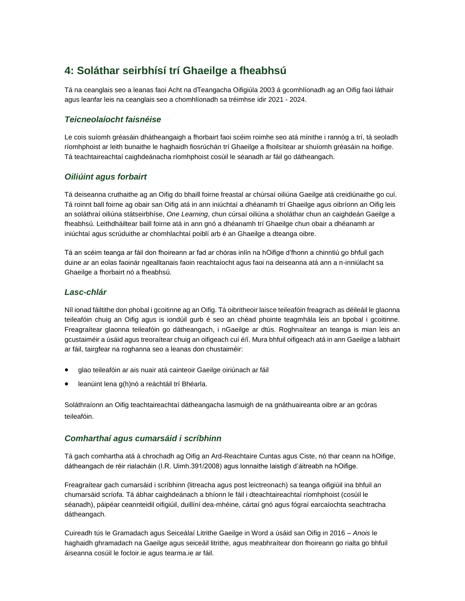# **4: Soláthar seirbhísí trí Ghaeilge a fheabhsú**

Tá na ceanglais seo a leanas faoi Acht na dTeangacha Oifigiúla 2003 á gcomhlíonadh ag an Oifig faoi láthair agus leanfar leis na ceanglais seo a chomhlíonadh sa tréimhse idir 2021 - 2024.

### *Teicneolaíocht faisnéise*

Le cois suíomh gréasáin dhátheangaigh a fhorbairt faoi scéim roimhe seo atá mínithe i rannóg a trí, tá seoladh ríomhphoist ar leith bunaithe le haghaidh fiosrúchán trí Ghaeilge a fhoilsítear ar shuíomh gréasáin na hoifige. Tá teachtaireachtaí caighdeánacha ríomhphoist cosúil le séanadh ar fáil go dátheangach.

### *Oiliúint agus forbairt*

Tá deiseanna cruthaithe ag an Oifig do bhaill foirne freastal ar chúrsaí oiliúna Gaeilge atá creidiúnaithe go cuí. Tá roinnt ball foirne ag obair san Oifig atá in ann iniúchtaí a dhéanamh trí Ghaeilge agus oibríonn an Oifig leis an soláthraí oiliúna státseirbhíse, *One Learning*, chun cúrsaí oiliúna a sholáthar chun an caighdeán Gaeilge a fheabhsú. Leithdháiltear baill foirne atá in ann gnó a dhéanamh trí Ghaeilge chun obair a dhéanamh ar iniúchtaí agus scrúduithe ar chomhlachtaí poiblí arb é an Ghaeilge a dteanga oibre.

Tá an scéim teanga ar fáil don fhoireann ar fad ar chóras inlín na hOifige d'fhonn a chinntiú go bhfuil gach duine ar an eolas faoinár ngealltanais faoin reachtaíocht agus faoi na deiseanna atá ann a n-inniúlacht sa Ghaeilge a fhorbairt nó a fheabhsú.

#### *Lasc-chlár*

Níl ionad fáiltithe don phobal i gcoitinne ag an Oifig. Tá oibritheoir laisce teileafóin freagrach as déileáil le glaonna teileafóin chuig an Oifig agus is iondúil gurb é seo an chéad phointe teagmhála leis an bpobal i gcoitinne. Freagraítear glaonna teileafóin go dátheangach, i nGaeilge ar dtús. Roghnaítear an teanga is mian leis an gcustaiméir a úsáid agus treoraítear chuig an oifigeach cuí é/í. Mura bhfuil oifigeach atá in ann Gaeilge a labhairt ar fáil, tairgfear na roghanna seo a leanas don chustaiméir:

- glao teileafóin ar ais nuair atá cainteoir Gaeilge oiriúnach ar fáil
- leanúint lena g(h)nó a reáchtáil trí Bhéarla.

Soláthraíonn an Oifig teachtaireachtaí dátheangacha lasmuigh de na gnáthuaireanta oibre ar an gcóras teileafóin.

#### *Comharthaí agus cumarsáid i scríbhinn*

Tá gach comhartha atá á chrochadh ag Oifig an Ard-Reachtaire Cuntas agus Ciste, nó thar ceann na hOifige, dátheangach de réir rialacháin (I.R. Uimh.391/2008) agus lonnaithe laistigh d'áitreabh na hOifige.

Freagraítear gach cumarsáid i scríbhinn (litreacha agus post leictreonach) sa teanga oifigiúil ina bhfuil an chumarsáid scríofa. Tá ábhar caighdeánach a bhíonn le fáil i dteachtaireachtaí ríomhphoist (cosúil le séanadh), páipéar ceannteidil oifigiúil, duillíní dea-mhéine, cártaí gnó agus fógraí earcaíochta seachtracha dátheangach.

Cuireadh tús le Gramadach agus Seiceálaí Litrithe Gaeilge in Word a úsáid san Oifig in 2016 – *Anois* le haghaidh ghramadach na Gaeilge agus seiceáil litrithe, agus meabhraítear don fhoireann go rialta go bhfuil áiseanna cosúil le focloir.ie agus tearma.ie ar fáil.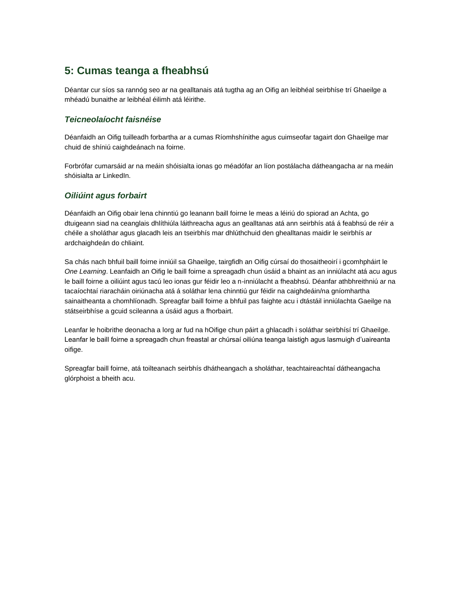# **5: Cumas teanga a fheabhsú**

Déantar cur síos sa rannóg seo ar na gealltanais atá tugtha ag an Oifig an leibhéal seirbhíse trí Ghaeilge a mhéadú bunaithe ar leibhéal éilimh atá léirithe.

### *Teicneolaíocht faisnéise*

Déanfaidh an Oifig tuilleadh forbartha ar a cumas Ríomhshínithe agus cuimseofar tagairt don Ghaeilge mar chuid de shíniú caighdeánach na foirne.

Forbrófar cumarsáid ar na meáin shóisialta ionas go méadófar an líon postálacha dátheangacha ar na meáin shóisialta ar LinkedIn.

### *Oiliúint agus forbairt*

Déanfaidh an Oifig obair lena chinntiú go leanann baill foirne le meas a léiriú do spiorad an Achta, go dtuigeann siad na ceanglais dhlíthiúla láithreacha agus an gealltanas atá ann seirbhís atá á feabhsú de réir a chéile a sholáthar agus glacadh leis an tseirbhís mar dhlúthchuid den ghealltanas maidir le seirbhís ar ardchaighdeán do chliaint.

Sa chás nach bhfuil baill foirne inniúil sa Ghaeilge, tairgfidh an Oifig cúrsaí do thosaitheoirí i gcomhpháirt le *One Learning*. Leanfaidh an Oifig le baill foirne a spreagadh chun úsáid a bhaint as an inniúlacht atá acu agus le baill foirne a oiliúint agus tacú leo ionas gur féidir leo a n-inniúlacht a fheabhsú. Déanfar athbhreithniú ar na tacaíochtaí riaracháin oiriúnacha atá á soláthar lena chinntiú gur féidir na caighdeáin/na gníomhartha sainaitheanta a chomhlíonadh. Spreagfar baill foirne a bhfuil pas faighte acu i dtástáil inniúlachta Gaeilge na státseirbhíse a gcuid scileanna a úsáid agus a fhorbairt.

Leanfar le hoibrithe deonacha a lorg ar fud na hOifige chun páirt a ghlacadh i soláthar seirbhísí trí Ghaeilge. Leanfar le baill foirne a spreagadh chun freastal ar chúrsaí oiliúna teanga laistigh agus lasmuigh d'uaireanta oifige.

Spreagfar baill foirne, atá toilteanach seirbhís dhátheangach a sholáthar, teachtaireachtaí dátheangacha glórphoist a bheith acu.